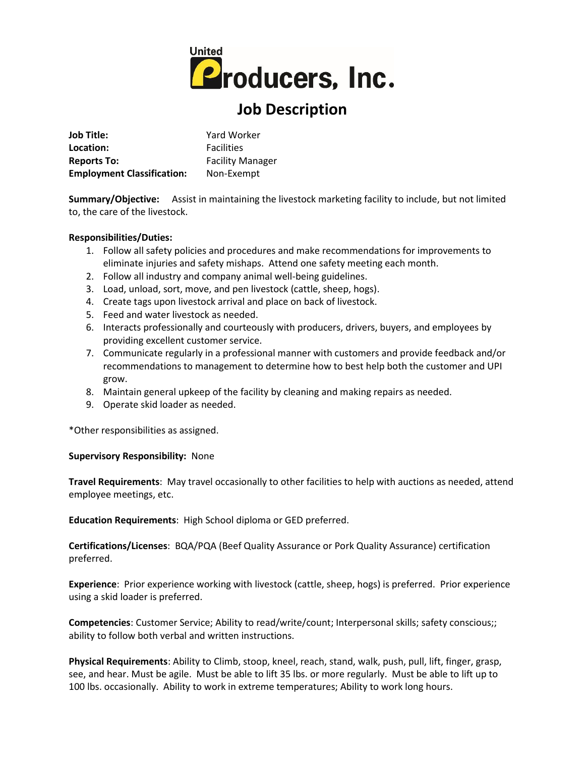

## **Job Description**

| Job Title:                        | Yard Worker                                  |  |
|-----------------------------------|----------------------------------------------|--|
| Location:                         | <b>Facilities</b><br><b>Facility Manager</b> |  |
| <b>Reports To:</b>                |                                              |  |
| <b>Employment Classification:</b> | Non-Exempt                                   |  |

**Summary/Objective:** Assist in maintaining the livestock marketing facility to include, but not limited to, the care of the livestock.

## **Responsibilities/Duties:**

- 1. Follow all safety policies and procedures and make recommendations for improvements to eliminate injuries and safety mishaps. Attend one safety meeting each month.
- 2. Follow all industry and company animal well-being guidelines.
- 3. Load, unload, sort, move, and pen livestock (cattle, sheep, hogs).
- 4. Create tags upon livestock arrival and place on back of livestock.
- 5. Feed and water livestock as needed.
- 6. Interacts professionally and courteously with producers, drivers, buyers, and employees by providing excellent customer service.
- 7. Communicate regularly in a professional manner with customers and provide feedback and/or recommendations to management to determine how to best help both the customer and UPI grow.
- 8. Maintain general upkeep of the facility by cleaning and making repairs as needed.
- 9. Operate skid loader as needed.

\*Other responsibilities as assigned.

## **Supervisory Responsibility:** None

**Travel Requirements**: May travel occasionally to other facilities to help with auctions as needed, attend employee meetings, etc.

**Education Requirements**: High School diploma or GED preferred.

**Certifications/Licenses**: BQA/PQA (Beef Quality Assurance or Pork Quality Assurance) certification preferred.

**Experience**: Prior experience working with livestock (cattle, sheep, hogs) is preferred. Prior experience using a skid loader is preferred.

**Competencies**: Customer Service; Ability to read/write/count; Interpersonal skills; safety conscious;; ability to follow both verbal and written instructions.

**Physical Requirements**: Ability to Climb, stoop, kneel, reach, stand, walk, push, pull, lift, finger, grasp, see, and hear. Must be agile. Must be able to lift 35 lbs. or more regularly. Must be able to lift up to 100 lbs. occasionally. Ability to work in extreme temperatures; Ability to work long hours.